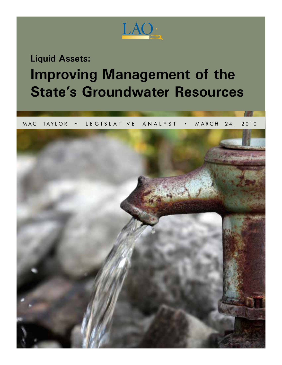

# **Liquid Assets: Improving Management of the State's Groundwater Resources**

MAC TAYLOR . LEGISLATIVE ANALYST . MARCH 24, 2010

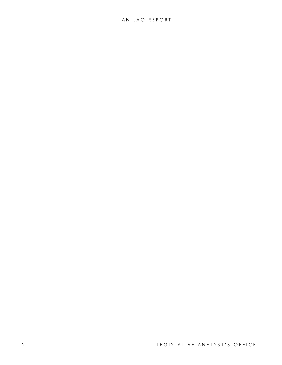#### AN LAO REPORT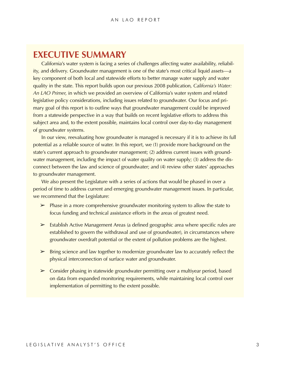# **ExEcutivE Summary**

California's water system is facing a series of challenges affecting water availability, reliability, and delivery. Groundwater management is one of the state's most critical liquid assets—a key component of both local and statewide efforts to better manage water supply and water quality in the state. This report builds upon our previous 2008 publication, *California's Water: An LAO Primer*, in which we provided an overview of California's water system and related legislative policy considerations, including issues related to groundwater. Our focus and primary goal of this report is to outline ways that groundwater management could be improved from a statewide perspective in a way that builds on recent legislative efforts to address this subject area and, to the extent possible, maintains local control over day-to-day management of groundwater systems.

In our view, reevaluating how groundwater is managed is necessary if it is to achieve its full potential as a reliable source of water. In this report, we (1) provide more background on the state's current approach to groundwater management; (2) address current issues with groundwater management, including the impact of water quality on water supply; (3) address the disconnect between the law and science of groundwater; and (4) review other states' approaches to groundwater management.

We also present the Legislature with a series of actions that would be phased in over a period of time to address current and emerging groundwater management issues. In particular, we recommend that the Legislature:

- $\triangleright$  Phase in a more comprehensive groundwater monitoring system to allow the state to focus funding and technical assistance efforts in the areas of greatest need.
- $\triangleright$  Establish Active Management Areas (a defined geographic area where specific rules are established to govern the withdrawal and use of groundwater), in circumstances where groundwater overdraft potential or the extent of pollution problems are the highest.
- $\triangleright$  Bring science and law together to modernize groundwater law to accurately reflect the physical interconnection of surface water and groundwater.
- $\triangleright$  Consider phasing in statewide groundwater permitting over a multiyear period, based on data from expanded monitoring requirements, while maintaining local control over implementation of permitting to the extent possible.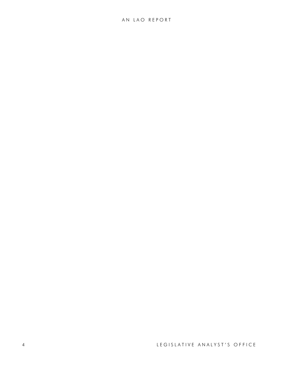#### AN LAO REPORT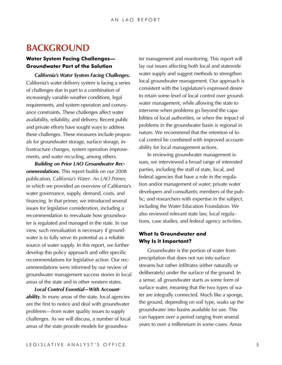# **Background**

# **Water System Facing Challenges— Groundwater Part of the Solution**

 *California's Water System Facing Challenges.*  California's water delivery system is facing a series of challenges due in part to a combination of increasingly variable weather conditions, legal requirements, and system operation and convey- ance constraints. These challenges affect water availability, reliability, and delivery. Recent public and private efforts have sought ways to address these challenges. These measures include proposals for groundwater storage, surface storage, infrastructure changes, system operation improvements, and water recycling, among others.

*Building on Prior LAO Groundwater Recommendations.* This report builds on our 2008 publication, *California's Water: An LAO Primer*, in which we provided an overview of California's water governance, supply, demand, costs, and financing. In that primer, we introduced several issues for legislative consideration, including a recommendation to reevaluate how groundwater is regulated and managed in the state. In our view, such reevaluation is necessary if groundwater is to fully serve its potential as a reliable source of water supply. In this report, we further develop this policy approach and offer specific recommendations for legislative action. Our recommendations were informed by our review of groundwater management success stories in local areas of the state and in other western states.

*Local Control Essential—With Accountability.* In many areas of the state, local agencies are the first to notice and deal with groundwater problems—from water quality issues to supply challenges. As we will discuss, a number of local areas of the state provide models for groundwater management and monitoring. This report will lay out issues affecting both local and statewide water supply and suggest methods to strengthen local groundwater management. Our approach is consistent with the Legislature's expressed desire to retain some level of local control over groundwater management, while allowing the state to intervene when problems go beyond the capabilities of local authorities, or when the impact of problems in the groundwater basin is regional in nature. We recommend that the retention of local control be combined with improved accountability for local management actions.

In reviewing groundwater management issues, we interviewed a broad range of interested parties, including the staff of state, local, and federal agencies that have a role in the regulation and/or management of water; private water developers and consultants; members of the public; and researchers with expertise in the subject, including the Water Education Foundation. We also reviewed relevant state law, local regulations, case studies, and federal agency activities.

### **What Is Groundwater and Why Is it Important?**

Groundwater is the portion of water from precipitation that does not run into surface streams but rather infiltrates (either naturally or deliberately) under the surface of the ground. In a sense, all groundwater starts as some form of surface water, meaning that the two types of water are integrally connected. Much like a sponge, the ground, depending on soil type, soaks up the groundwater into basins available for use. This can happen over a period ranging from several years to over a millennium in some cases. Areas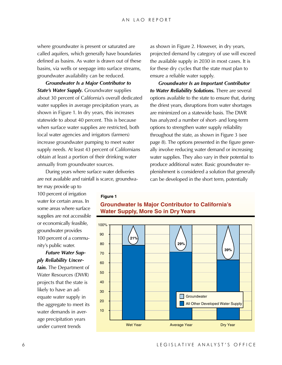where groundwater is present or saturated are called aquifers, which generally have boundaries defined as basins. As water is drawn out of these basins, via wells or seepage into surface streams, groundwater availability can be reduced.

*Groundwater Is a Major Contributor to State's Water Supply.* Groundwater supplies about 30 percent of California's overall dedicated water supplies in average precipitation years, as shown in Figure 1. In dry years, this increases statewide to about 40 percent. This is because when surface water supplies are restricted, both local water agencies and irrigators (farmers) increase groundwater pumping to meet water supply needs. At least 43 percent of Californians obtain at least a portion of their drinking water annually from groundwater sources.

 During years where surface water deliveries are not available and rainfall is scarce, groundwa-

 ter may provide up to 100 percent of irrigation<br>**Figure 1**  water for certain areas. In some areas where surface supplies are not accessible 100 percent of a community's public water. **80** or economically feasible, 100% groundwater provides

*ply Reliability Uncer-* 60 *tain.* The Department of Water Resources (DWR) 50 projects that the state is  $\frac{40}{100}$ likely to have an ad- $\frac{30}{30}$ equate water supply in the aggregate to meet its water demands in aver- $\frac{10}{10}$ age precipitation years

as shown in Figure 2. However, in dry years, projected demand by category of use will exceed the available supply in 2030 in most cases. It is for these dry cycles that the state must plan to ensure a reliable water supply.

 *to Water Reliability Solutions.* There are several options available to the state to ensure that, during the driest years, disruptions from water shortages are minimized on a statewide basis. The DWR has analyzed a number of short- and long-term options to strengthen water supply reliability throughout the state, as shown in Figure 3 (see page 8). The options presented in the figure gener- ally involve reducing water demand or increasing water supplies. They also vary in their potential to produce additional water. Basic groundwater re- plenishment is considered a solution that generally can be developed in the short term, potentially *Groundwater Is an Important Contributor* 



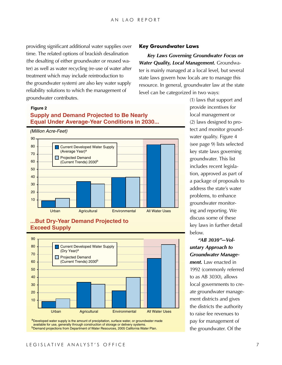providing significant additional water supplies over time. The related options of brackish desalination (the desalting of either groundwater or reused wa- ter) as well as water recycling (re-use of water after treatment which may include reintroduction to the groundwater system) are also key water supply reliability solutions to which the management of groundwater contributes.

#### **Figure 2**

# **Supply and Demand Projected to Be Nearly Equal Under Average-Year Conditions in 2030...**



## **...But Dry-Year Demand Projected to Exceed Supply**



<sup>a</sup>Developed water supply is the amount of precipitation, surface water, or groundwater made available for use, generally through construction of storage or delivery systems. **b**Demand projections from Department of Water Resources, 2005 California Water Plan.

#### **Key Groundwater Laws**

*Key Laws Governing Groundwater Focus on Water Quality, Local Management.* Groundwater is mainly managed at a local level, but several state laws govern how locals are to manage this resource. In general, groundwater law at the state level can be categorized in two ways:

> (1) laws that support and provide incentives for local management or (2) laws designed to protect and monitor groundwater quality. Figure 4 (see page 9) lists selected key state laws governing groundwater. This list includes recent legislation, approved as part of a package of proposals to address the state's water problems, to enhance groundwater monitoring and reporting. We discuss some of these key laws in further detail below.

# *"AB 3030"—Voluntary Approach to Groundwater Manage-*

*ment.* Law enacted in 1992 (commonly referred to as AB 3030), allows local governments to create groundwater management districts and gives the districts the authority to raise fee revenues to pay for management of the groundwater. Of the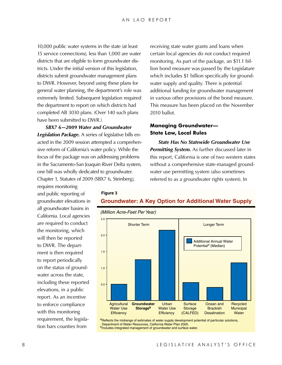10,000 public water systems in the state (at least 15 service connections), less than 1,000 are water districts that are eligible to form groundwater dis- tricts. Under the initial version of this legislation, districts submit groundwater management plans to DWR. However, beyond using these plans for general water planning, the department's role was extremely limited. Subsequent legislation required the department to report on which districts had completed AB 3030 plans. (Over 140 such plans have been submitted to DWR.)

 *Legislation Package.* A series of legislative bills en- acted in the 2009 session attempted a comprehen- sive reform of California's water policy. While the focus of the package was on addressing problems in the Sacramento-San Joaquin River Delta system, one bill was wholly dedicated to groundwater. Chapter 1, Statutes of 2009 (SBX7 6, Steinberg), *SBX7 6—2009 Water and Groundwater* 

receiving state water grants and loans when certain local agencies do not conduct required monitoring. As part of the package, an \$11.1 billion bond measure was passed by the Legislature which includes \$1 billion specifically for groundwater supply and quality. There is potential additional funding for groundwater management in various other provisions of the bond measure. This measure has been placed on the November 2010 ballot.

# **Managing Groundwater— State Law, Local Rules**

*State Has No Statewide Groundwater Use Permitting System.* As further discussed later in this report, California is one of two western states without a comprehensive state-managed groundwater use permitting system (also sometimes referred to as a groundwater rights system). In

 and public reporting of **Figure 3** groundwater elevations in all groundwater basins in California. Local agencies requires monitoring are required to conduct the monitoring, which will then be reported  $\frac{2.0}{2.0}$ to DWR. The department is then required  $1.5$ to report periodically on the status of groundwater across the state, including these reported  $\frac{1}{0.5}$ elevations, in a public report. As an incentive to enforce compliance with this monitoring

### **Groundwater: A Key Option for Additional Water Supply**



requirement, the legisla-<br>ting legal are allows are allows and allows are presented to the midrange of estimates of water supply development potential of particular solutions, tion bars counties from bIncludes integrated management of groundwater and surface water.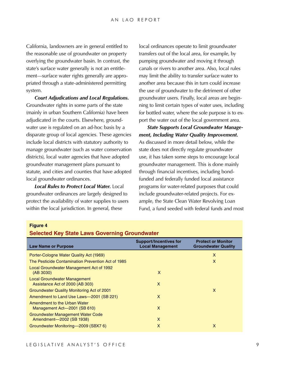California, landowners are in general entitled to the reasonable use of groundwater on property overlying the groundwater basin. In contrast, the state's surface water generally is not an entitlement—surface water rights generally are appropriated through a state-administered permitting system.

*Court Adjudications and Local Regulations.*  Groundwater rights in some parts of the state (mainly in urban Southern California) have been adjudicated in the courts. Elsewhere, groundwater use is regulated on an ad-hoc basis by a disparate group of local agencies. These agencies include local districts with statutory authority to manage groundwater (such as water conservation districts), local water agencies that have adopted groundwater management plans pursuant to statute, and cities and counties that have adopted local groundwater ordinances.

*Local Rules to Protect Local Water.* Local groundwater ordinances are largely designed to protect the availability of water supplies to users within the local jurisdiction. In general, these

 transfers out of the local area, for example, by pumping groundwater and moving it through canals or rivers to another area. Also, local rules may limit the ability to transfer surface water to another area because this in turn could increase the use of groundwater to the detriment of other groundwater users. Finally, local areas are begin- ning to limit certain types of water uses, including for bottled water, where the sole purpose is to ex- port the water out of the local government area. local ordinances operate to limit groundwater

*State Supports Local Groundwater Management, Including Water Quality Improvement.*  As discussed in more detail below, while the state does not directly regulate groundwater use, it has taken some steps to encourage local groundwater management. This is done mainly through financial incentives, including bondfunded and federally funded local assistance programs for water-related purposes that could include groundwater-related projects. For example, the State Clean Water Revolving Loan Fund, a fund seeded with federal funds and most

#### **Figure 4**

#### **Selected Key State Laws Governing Groundwater**

| <b>Law Name or Purpose</b>                                      | <b>Support/Incentives for</b><br><b>Local Management</b> | <b>Protect or Monitor</b><br><b>Groundwater Quality</b> |
|-----------------------------------------------------------------|----------------------------------------------------------|---------------------------------------------------------|
| Porter-Cologne Water Quality Act (1969)                         |                                                          | X                                                       |
| The Pesticide Contamination Prevention Act of 1985              |                                                          | X                                                       |
| Local Groundwater Management Act of 1992<br>(AB 3030)           | X                                                        |                                                         |
| Local Groundwater Management<br>Assistance Act of 2000 (AB 303) | X                                                        |                                                         |
| Groundwater Quality Monitoring Act of 2001                      |                                                          | X                                                       |
| Amendment to Land Use Laws-2001 (SB 221)                        | X                                                        |                                                         |
| Amendment to the Urban Water<br>Management Act-2001 (SB 610)    | X                                                        |                                                         |
| Groundwater Management Water Code                               |                                                          |                                                         |
| Amendment-2002 (SB 1938)                                        | X                                                        |                                                         |
| Groundwater Monitoring-2009 (SBX7 6)                            | X                                                        | х                                                       |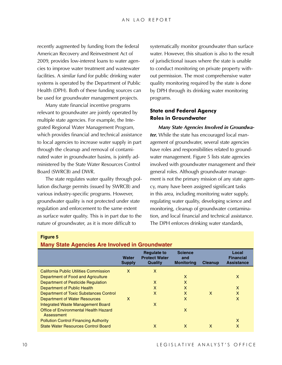recently augmented by funding from the federal American Recovery and Reinvestment Act of 2009, provides low-interest loans to water agencies to improve water treatment and wastewater facilities. A similar fund for public drinking water systems is operated by the Department of Public Health (DPH). Both of these funding sources can be used for groundwater management projects.

Many state financial incentive programs relevant to groundwater are jointly operated by multiple state agencies. For example, the Integrated Regional Water Management Program, which provides financial and technical assistance to local agencies to increase water supply in part through the cleanup and removal of contaminated water in groundwater basins, is jointly administered by the State Water Resources Control Board (SWRCB) and DWR.

The state regulates water quality through pollution discharge permits (issued by SWRCB) and various industry-specific programs. However, groundwater quality is not protected under state regulation and enforcement to the same extent as surface water quality. This is in part due to the nature of groundwater, as it is more difficult to

systematically monitor groundwater than surface water. However, this situation is also to the result of jurisdictional issues where the state is unable to conduct monitoring on private property without permission. The most comprehensive water quality monitoring required by the state is done by DPH through its drinking water monitoring programs.

# **State and Federal Agency Roles in Groundwater**

 *Many State Agencies Involved in Groundwa- ter.* While the state has encouraged local man- agement of groundwater, several state agencies have roles and responsibilities related to ground- water management. Figure 5 lists state agencies involved with groundwater management and their general roles. Although groundwater manage- ment is not the primary mission of any state agen- cy, many have been assigned significant tasks in this area, including monitoring water supply, regulating water quality, developing science and monitoring, cleanup of groundwater contamina- tion, and local financial and technical assistance. The DPH enforces drinking water standards,

#### **Figure 5**

|                                                     | Water<br><b>Supply</b> | <b>Regulate to</b><br><b>Protect Water</b><br>Quality | <b>Science</b><br>and<br><b>Monitoring</b> | <b>Cleanup</b> | Local<br><b>Financial</b><br><b>Assistance</b> |
|-----------------------------------------------------|------------------------|-------------------------------------------------------|--------------------------------------------|----------------|------------------------------------------------|
| California Public Utilities Commission              | X                      | X                                                     |                                            |                |                                                |
| Department of Food and Agriculture                  |                        |                                                       | X                                          |                | X                                              |
| <b>Department of Pesticide Regulation</b>           |                        | X                                                     | X                                          |                |                                                |
| Department of Public Health                         |                        | X                                                     | X                                          |                | X                                              |
| Department of Toxic Substances Control              |                        | X                                                     | X                                          | X              | X                                              |
| Department of Water Resources                       | X                      |                                                       | X                                          |                | X                                              |
| Integrated Waste Management Board                   |                        | X                                                     |                                            |                |                                                |
| Office of Environmental Health Hazard<br>Assessment |                        |                                                       | X                                          |                |                                                |
| <b>Pollution Control Financing Authority</b>        |                        |                                                       |                                            |                | X                                              |
| <b>State Water Resources Control Board</b>          |                        | х                                                     | x                                          | X              | X                                              |

#### **Many State Agencies Are Involved in Groundwater**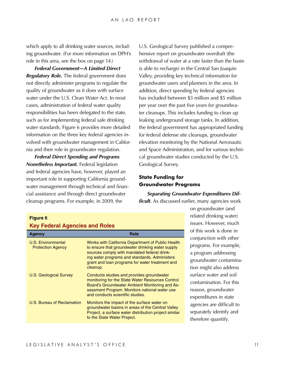which apply to all drinking water sources, includ- U.S. Geological Survey published a compre- ing groundwater. (For more information on DPH's hensive report on groundwater overdraft (the role in this area, see the box on page 14.)

**Regulatory Role.** The federal government does Valley, providing key technical information for not directly administer programs to regulate the groundwater users and planners in the area. In quality of groundwater as it does with surface addition, direct spending by federal agencies water under the U.S. Clean Water Act. In most has included between \$3 million and \$5 million cases, administration of federal water quality per year over the past five years for groundwaresponsibilities has been delegated to the state, the cleanups. This includes funding to clean up such as for implementing federal safe drinking leaking underground storage tanks. In addition, information on the three key federal agencies in- for federal defense site cleanups, groundwater volved with groundwater management in Califor- elevation monitoring by the National Aeronautic

*Nonetheless Important.* Federal legislation Geological Survey. and federal agencies have, however, played an important role in supporting California ground-**State Funding for** water management through technical and finan-**Groundwater Programs** 

withdrawal of water at a rate faster than the basin *Federal Government—A Limited Direct* is able to recharge) in the Central San Joaquin water standards. Figure 6 provides more detailed the federal government has appropriated funding nia and their role in groundwater regulation. and Space Administration, and for various techni-**Federal Direct Spending and Programs** cal groundwater studies conducted by the U.S.

cial assistance and through direct groundwater *Separating Groundwater Expenditures Dif*cleanup programs. For example, in 2009, the *ficult.* As discussed earlier, many agencies work

#### **Figure 6**

| <b>Agency</b>                                         | Role                                                                                                                                                                                                                                                                 |
|-------------------------------------------------------|----------------------------------------------------------------------------------------------------------------------------------------------------------------------------------------------------------------------------------------------------------------------|
| <b>U.S. Environmental</b><br><b>Protection Agency</b> | Works with California Department of Public Health<br>to ensure that groundwater drinking water supply<br>sources comply with mandated federal drink-<br>ing water programs and standards. Administers<br>grant and loan programs for water treatment and<br>cleanup. |
| <b>U.S. Geological Survey</b>                         | Conducts studies and provides groundwater<br>monitoring for the State Water Resources Control<br>Board's Groundwater Ambient Monitoring and As-<br>sessment Program. Monitors national water use<br>and conducts scientific studies.                                 |
| U.S. Bureau of Reclamation                            | Monitors the impact of the surface water on<br>groundwater basins in areas of the Central Valley<br>Project, a surface water distribution project similar<br>to the State Water Project.                                                                             |

# **Key Federal Agencies and Roles**

on groundwater (and related drinking water) issues. However, much of this work is done in conjunction with other programs. For example, a program addressing groundwater contamination might also address surface water and soil contamination. For this reason, groundwater expenditures in state agencies are difficult to separately identify and therefore quantify.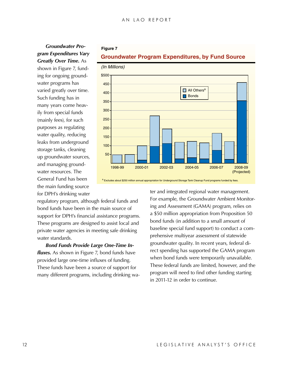**Figure 7**

*Groundwater Program Expenditures Vary Greatly Over Time.* As

shown in Figure 7, funding for ongoing groundwater programs has varied greatly over time. Such funding has in many years come heavily from special funds (mainly fees), for such purposes as regulating water quality, reducing leaks from underground storage tanks, cleaning up groundwater sources, and managing groundwater resources. The General Fund has been the main funding source for DPH's drinking water



# **Groundwater Program Expenditures, by Fund Source**

a Excludes about \$250 million annual appropriation for Underground Storage Tank Cleanup Fund programs funded by fees.

regulatory program, although federal funds and bond funds have been in the main source of support for DPH's financial assistance programs. These programs are designed to assist local and private water agencies in meeting safe drinking water standards.

*Bond Funds Provide Large One-Time Influxes.* As shown in Figure 7, bond funds have provided large one-time influxes of funding. These funds have been a source of support for many different programs, including drinking water and integrated regional water management. For example, the Groundwater Ambient Monitoring and Assessment (GAMA) program, relies on a \$50 million appropriation from Proposition 50 bond funds (in addition to a small amount of baseline special fund support) to conduct a comprehensive multiyear assessment of statewide groundwater quality. In recent years, federal direct spending has supported the GAMA program when bond funds were temporarily unavailable. These federal funds are limited, however, and the program will need to find other funding starting in 2011-12 in order to continue.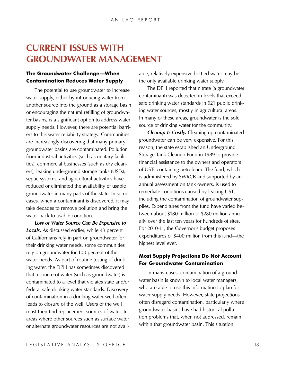# **currEnt iSSuES With groundWatEr managEmEnt**

# **The Groundwater Challenge—When Contamination Reduces Water Supply**

The potential to use groundwater to increase water supply, either by introducing water from another source into the ground as a storage basin or encouraging the natural refilling of groundwater basins, is a significant option to address water supply needs. However, there are potential barriers to this water reliability strategy. Communities are increasingly discovering that many primary groundwater basins are contaminated. Pollution from industrial activities (such as military facilities), commercial businesses (such as dry cleaners), leaking underground storage tanks (USTs), septic systems, and agricultural activities have reduced or eliminated the availability of usable groundwater in many parts of the state. In some cases, when a contaminant is discovered, it may take decades to remove pollution and bring the water back to usable condition.

*Loss of Water Source Can Be Expensive to Locals.* As discussed earlier, while 43 percent of Californians rely in part on groundwater for their drinking water needs, some communities rely on groundwater for 100 percent of their water needs. As part of routine testing of drinking water, the DPH has sometimes discovered that a source of water (such as groundwater) is contaminated to a level that violates state and/or federal safe drinking water standards. Discovery of contamination in a drinking water well often leads to closure of the well. Users of the well must then find replacement sources of water. In areas where other sources such as surface water or alternate groundwater resources are not available, relatively expensive bottled water may be the only available drinking water supply.

The DPH reported that nitrate (a groundwater contaminant) was detected in levels that exceed safe drinking water standards in 921 public drinking water sources, mostly in agricultural areas. In many of these areas, groundwater is the sole source of drinking water for the community.

*Cleanup Is Costly.* Cleaning up contaminated groundwater can be very expensive. For this reason, the state established an Underground Storage Tank Cleanup Fund in 1989 to provide financial assistance to the owners and operators of USTs containing petroleum. The fund, which is administered by SWRCB and supported by an annual assessment on tank owners, is used to remediate conditions caused by leaking USTs, including the contamination of groundwater supplies. Expenditures from the fund have varied between about \$180 million to \$280 million annually over the last ten years for hundreds of sites. For 2010-11, the Governor's budget proposes expenditures of \$400 million from this fund—the highest level ever.

## **Most Supply Projections Do Not Account For Groundwater Contamination**

In many cases, contamination of a groundwater basin is known to local water managers, who are able to use this information to plan for water supply needs. However, state projections often disregard contamination, particularly where groundwater basins have had historical pollution problems that, when not addressed, remain within that groundwater basin. This situation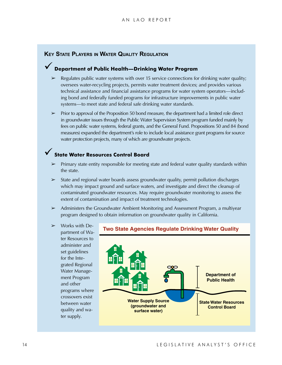# **KEY STATE PLAYERS IN WATER QUALITY REGULATION**

# ü **Department of Public Health—Drinking Water Program**

- Regulates public water systems with over 15 service connections for drinking water quality; oversees water-recycling projects, permits water treatment devices; and provides various technical assistance and financial assistance programs for water system operators—including bond and federally funded programs for infrastructure improvements in public water systems—to meet state and federal safe drinking water standards.
- $\triangleright$  Prior to approval of the Proposition 50 bond measure, the department had a limited role direct in groundwater issues through the Public Water Supervision System program funded mainly by fees on public water systems, federal grants, and the General Fund. Propositions 50 and 84 (bond measures) expanded the department's role to include local assistance grant programs for source water protection projects, many of which are groundwater projects.

# ü **State Water Resources Control Board**

- Primary state entity responsible for meeting state and federal water quality standards within the state.
- $\triangleright$  State and regional water boards assess groundwater quality, permit pollution discharges which may impact ground and surface waters, and investigate and direct the cleanup of contaminated groundwater resources. May require groundwater monitoring to assess the extent of contamination and impact of treatment technologies.
- ➢ Administers the Groundwater Ambient Monitoring and Assessment Program, a multiyear program designed to obtain information on groundwater quality in California.

ter Resources to administer and set guidelines for the Integrated Regional and other programs where crossovers exist ter supply.

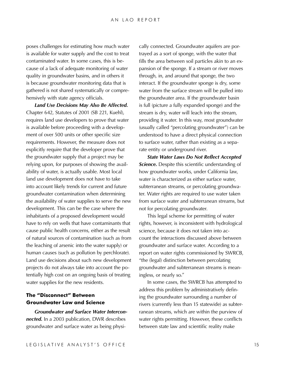poses challenges for estimating how much water is available for water supply and the cost to treat contaminated water. In some cases, this is because of a lack of adequate monitoring of water quality in groundwater basins, and in others it is because groundwater monitoring data that is gathered is not shared systematically or comprehensively with state agency officials.

*Land Use Decisions May Also Be Affected.*  Chapter 642, Statutes of 2001 (SB 221, Kuehl), requires land use developers to prove that water is available before proceeding with a development of over 500 units or other specific size requirements. However, the measure does not explicitly require that the developer prove that the groundwater supply that a project may be relying upon, for purposes of showing the availability of water, is actually usable. Most local land use development does not have to take into account likely trends for current and future groundwater contamination when determining the availability of water supplies to serve the new development. This can be the case where the inhabitants of a proposed development would have to rely on wells that have contaminants that cause public health concerns, either as the result of natural sources of contamination (such as from the leaching of arsenic into the water supply) or human causes (such as pollution by perchlorate). Land use decisions about such new development projects do not always take into account the potentially high cost on an ongoing basis of treating water supplies for the new residents.

# **The "Disconnect" Between Groundwater Law and Science**

*Groundwater and Surface Water Interconnected.* In a 2003 publication, DWR describes groundwater and surface water as being physically connected. Groundwater aquifers are portrayed as a sort of sponge, with the water that fills the area between soil particles akin to an expansion of the sponge. If a stream or river moves through, in, and around that sponge, the two interact. If the groundwater sponge is dry, some water from the surface stream will be pulled into the groundwater area. If the groundwater basin is full (picture a fully expanded sponge) and the stream is dry, water will leach into the stream, providing it water. In this way, most groundwater (usually called "percolating groundwater") can be understood to have a direct physical connection to surface water, rather than existing as a separate entity or underground river.

*State Water Laws Do Not Reflect Accepted Science.* Despite this scientific understanding of how groundwater works, under California law, water is characterized as either surface water, subterranean streams, or percolating groundwater. Water rights are required to use water taken from surface water and subterranean streams, but not for percolating groundwater.

This legal scheme for permitting of water rights, however, is inconsistent with hydrological science, because it does not taken into account the interactions discussed above between groundwater and surface water. According to a report on water rights commissioned by SWRCB, "the (legal) distinction between percolating groundwater and subterranean streams is meaningless, or nearly so."

In some cases, the SWRCB has attempted to address this problem by administratively defining the groundwater surrounding a number of rivers (currently less than 15 statewide) as subterranean streams, which are within the purview of water rights permitting. However, these conflicts between state law and scientific reality make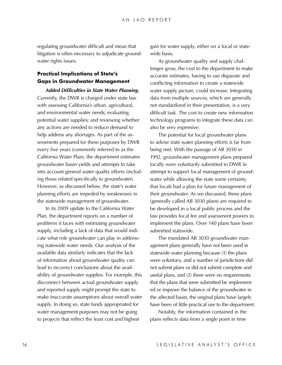regulating groundwater difficult and mean that litigation is often necessary to adjudicate groundwater rights issues.

# **Practical Implications of State's Gaps in Groundwater Management**

*Added Difficulties in State Water Planning.*  Currently, the DWR is charged under state law with assessing California's urban, agricultural, and environmental water needs; evaluating potential water supplies; and reviewing whether any actions are needed to reduce demand to help address any shortages. As part of the assessments prepared for these purposes by DWR every five years (commonly referred to as the California Water Plan), the department estimates groundwater basin yields and attempts to take into account general water quality efforts (including those related specifically to groundwater). However, as discussed below, the state's water planning efforts are impeded by weaknesses in the statewide management of groundwater.

In its 2009 update to the California Water Plan, the department reports on a number of problems it faces with estimating groundwater supply, including a lack of data that would indicate what role groundwater can play in addressing statewide water needs. Our analysis of the available data similarly indicates that the lack of information about groundwater quality can lead to incorrect conclusions about the availability of groundwater supplies. For example, this disconnect between actual groundwater supply and reported supply might prompt the state to make inaccurate assumptions about overall water supply. In doing so, state funds appropriated for water management purposes may not be going to projects that reflect the least cost and highest

gain for water supply, either on a local or statewide basis.

As groundwater quality and supply challenges grow, the cost to the department to make accurate estimates, having to use disparate and conflicting information to create a statewide water supply picture, could increase. Integrating data from multiple sources, which are generally not standardized in their presentation, is a very difficult task. The cost to create new information technology programs to integrate these data can also be very expensive.

The potential for local groundwater plans to advise state water planning efforts is far from being met. With the passage of AB 3030 in 1992, groundwater management plans prepared locally were voluntarily submitted to DWR in attempt to support local management of groundwater while allowing the state some certainty that locals had a plan for future management of their groundwater. As we discussed, these plans (generally called AB 3030 plans) are required to be developed in a local public process and the law provides local fee and assessment powers to implement the plans. Over 140 plans have been submitted statewide.

 agement plans generally have not been used in statewide water planning because (1) the plans were voluntary, and a number of jurisdictions did not submit plans or did not submit complete and useful plans, and (2) there were no requirements that the plans that were submitted be implement- ed or improve the balance of the groundwater in the affected basin, the original plans have largely have been of little practical use to the department. The mandated AB 3030 groundwater man-

Notably, the information contained in the plans reflects data from a single point in time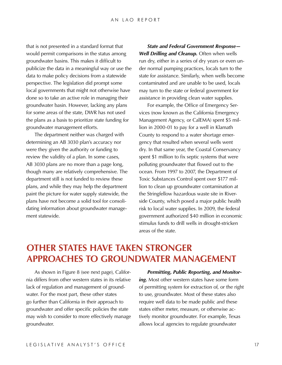that is not presented in a standard format that would permit comparisons in the status among groundwater basins. This makes it difficult to publicize the data in a meaningful way or use the data to make policy decisions from a statewide perspective. The legislation did prompt some local governments that might not otherwise have done so to take an active role in managing their groundwater basin. However, lacking any plans for some areas of the state, DWR has not used the plans as a basis to prioritize state funding for groundwater management efforts.

The department neither was charged with determining an AB 3030 plan's accuracy nor were they given the authority or funding to review the validity of a plan. In some cases, AB 3030 plans are no more than a page long, though many are relatively comprehensive. The department still is not funded to review these plans, and while they may help the department paint the picture for water supply statewide, the plans have not become a solid tool for consolidating information about groundwater management statewide.

*State and Federal Government Response— Well Drilling and Cleanup.* Often when wells run dry, either in a series of dry years or even under normal pumping practices, locals turn to the state for assistance. Similarly, when wells become contaminated and are unable to be used, locals may turn to the state or federal government for assistance in providing clean water supplies.

For example, the Office of Emergency Services (now known as the California Emergency Management Agency, or CalEMA) spent \$5 million in 2000-01 to pay for a well in Klamath County to respond to a water shortage emergency that resulted when several wells went dry. In that same year, the Coastal Conservancy spent \$1 million to fix septic systems that were polluting groundwater that flowed out to the ocean. From 1997 to 2007, the Department of Toxic Substances Control spent over \$177 million to clean up groundwater contamination at the Stringfellow hazardous waste site in Riverside County, which posed a major public health risk to local water supplies. In 2009, the federal government authorized \$40 million in economic stimulus funds to drill wells in drought-stricken areas of the state.

# **othEr StatES havE takEn StrongEr approachES to groundWatEr managEmEnt**

As shown in Figure 8 (see next page), California differs from other western states in its relative lack of regulation and management of groundwater. For the most part, these other states go further than California in their approach to groundwater and offer specific policies the state may wish to consider to more effectively manage groundwater.

*Permitting, Public Reporting, and Monitoring.* Most other western states have some form of permitting system for extraction of, or the right to use, groundwater. Most of these states also require well data to be made public and these states either meter, measure, or otherwise actively monitor groundwater. For example, Texas allows local agencies to regulate groundwater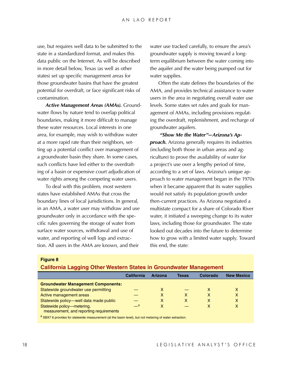use, but requires well data to be submitted to the state in a standardized format, and makes this data public on the Internet. As will be described in more detail below, Texas (as well as other states) set up specific management areas for those groundwater basins that have the greatest potential for overdraft, or face significant risks of contamination.

*Active Management Areas (AMAs).* Groundwater flows by nature tend to overlap political boundaries, making it more difficult to manage these water resources. Local interests in one area, for example, may wish to withdraw water at a more rapid rate than their neighbors, setting up a potential conflict over management of a groundwater basin they share. In some cases, such conflicts have led either to the overdrafting of a basin or expensive court adjudication of water rights among the competing water users.

To deal with this problem, most western states have established AMAs that cross the boundary lines of local jurisdictions. In general, in an AMA, a water user may withdraw and use groundwater only in accordance with the specific rules governing the storage of water from surface water sources, withdrawal and use of water, and reporting of well logs and extraction. All users in the AMA are known, and their

water use tracked carefully, to ensure the area's groundwater supply is moving toward a longterm equilibrium between the water coming into the aquifer and the water being pumped out for water supplies.

Often the state defines the boundaries of the AMA, and provides technical assistance to water users in the area in negotiating overall water use levels. Some states set rules and goals for management of AMAs, including provisions regulating the overdraft, replenishment, and recharge of groundwater aquifers.

*"Show Me the Water"—Arizona's Approach.* Arizona generally requires its industries (including both those in urban areas and agriculture) to prove the availability of water for a project's use over a lengthy period of time, according to a set of laws. Arizona's unique approach to water management began in the 1970s when it became apparent that its water supplies would not satisfy its population growth under then-current practices. As Arizona negotiated a multistate compact for a share of Colorado River water, it initiated a sweeping change to its water laws, including those for groundwater. The state looked out decades into the future to determine how to grow with a limited water supply. Toward this end, the state:

| <u>Udiliulina Layying Utiler Western Jiales III Uruunuwalel Manayement</u>                                         |                   |                |       |          |                   |
|--------------------------------------------------------------------------------------------------------------------|-------------------|----------------|-------|----------|-------------------|
|                                                                                                                    | <b>California</b> | <b>Arizona</b> | Texas | Colorado | <b>New Mexico</b> |
| <b>Groundwater Management Components:</b>                                                                          |                   |                |       |          |                   |
| Statewide groundwater use permitting                                                                               |                   | X              |       | x        |                   |
| Active management areas                                                                                            |                   | X              | X     | X        |                   |
| Statewide policy-well data made public                                                                             |                   | x              | x     | x        | x                 |
| Statewide policy-metering,<br>measurement, and reporting requirements                                              | __a               | x              |       | х        |                   |
| <sup>a</sup> SBX7 6 provides for statewide measurement (at the basin level), but not metering of water extraction. |                   |                |       |          |                   |

**California Lagging Other Western States in Groundwater Management** 

#### **Figure 8**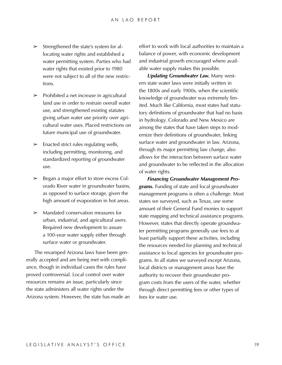- $\triangleright$  Strengthened the state's system for allocating water rights and established a water permitting system. Parties who had water rights that existed prior to 1980 were not subject to all of the new restrictions.
- $\triangleright$  Prohibited a net increase in agricultural land use in order to restrain overall water use, and strengthened existing statutes giving urban water use priority over agricultural water uses. Placed restrictions on future municipal use of groundwater.
- $\triangleright$  Enacted strict rules regulating wells, including permitting, monitoring, and standardized reporting of groundwater use.
- $\geq$  Began a major effort to store excess Colorado River water in groundwater basins, as opposed to surface storage, given the high amount of evaporation in hot areas.
- $\triangleright$  Mandated conservation measures for urban, industrial, and agricultural users. Required new development to assure a 100-year water supply either through surface water or groundwater.

The revamped Arizona laws have been generally accepted and are being met with compliance, though in individual cases the rules have proved controversial. Local control over water resources remains an issue, particularly since the state administers all water rights under the Arizona system. However, the state has made an effort to work with local authorities to maintain a balance of power, with economic development and industrial growth encouraged where available water supply makes this possible.

*Updating Groundwater Law.* Many western state water laws were initially written in the 1800s and early 1900s, when the scientific knowledge of groundwater was extremely limited. Much like California, most states had statutory definitions of groundwater that had no basis in hydrology. Colorado and New Mexico are among the states that have taken steps to modernize their definitions of groundwater, linking surface water and groundwater in law. Arizona, through its major permitting law change, also allows for the interaction between surface water and groundwater to be reflected in the allocation of water rights.

*Financing Groundwater Management Programs.* Funding of state and local groundwater management programs is often a challenge. Most states we surveyed, such as Texas, use some amount of their General Fund monies to support state mapping and technical assistance programs. However, states that directly operate groundwater permitting programs generally use fees to at least partially support these activities, including the resources needed for planning and technical assistance to local agencies for groundwater programs. In all states we surveyed except Arizona, local districts or management areas have the authority to recover their groundwater program costs from the users of the water, whether through direct permitting fees or other types of fees for water use.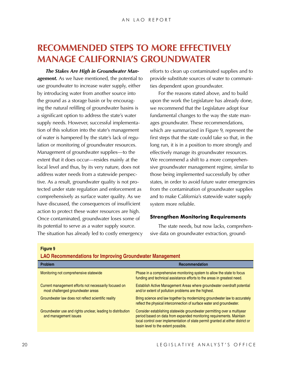# **rEcommEndEd StEpS to morE EffEctivEly managE california'S groundWatEr**

*The Stakes Are High in Groundwater Management.* As we have mentioned, the potential to use groundwater to increase water supply, either by introducing water from another source into the ground as a storage basin or by encouraging the natural refilling of groundwater basins is a significant option to address the state's water supply needs. However, successful implementation of this solution into the state's management of water is hampered by the state's lack of regulation or monitoring of groundwater resources. Management of groundwater supplies—to the extent that it does occur—resides mainly at the local level and thus, by its very nature, does not address water needs from a statewide perspective. As a result, groundwater quality is not protected under state regulation and enforcement as comprehensively as surface water quality. As we have discussed, the consequences of insufficient action to protect these water resources are high. Once contaminated, groundwater loses some of its potential to serve as a water supply source. The situation has already led to costly emergency efforts to clean up contaminated supplies and to provide substitute sources of water to communities dependent upon groundwater.

For the reasons stated above, and to build upon the work the Legislature has already done, we recommend that the Legislature adopt four fundamental changes to the way the state manages groundwater. These recommendations, which are summarized in Figure 9, represent the first steps that the state could take so that, in the long run, it is in a position to more strongly and effectively manage its groundwater resources. We recommend a shift to a more comprehensive groundwater management regime, similar to those being implemented successfully by other states, in order to avoid future water emergencies from the contamination of groundwater supplies and to make California's statewide water supply system more reliable.

#### **Strengthen Monitoring Requirements**

The state needs, but now lacks, comprehensive data on groundwater extraction, ground-

**Figure 9** 

| <b>Problem</b>                                                                             | <b>Recommendation</b>                                                                                                                                                                                                                                                     |  |
|--------------------------------------------------------------------------------------------|---------------------------------------------------------------------------------------------------------------------------------------------------------------------------------------------------------------------------------------------------------------------------|--|
| Monitoring not comprehensive statewide                                                     | Phase in a comprehensive monitoring system to allow the state to focus<br>funding and technical assistance efforts to the areas in greatest need.                                                                                                                         |  |
| Current management efforts not necessarily focused on<br>most challenged groundwater areas | Establish Active Management Areas where groundwater overdraft potential<br>and/or extent of pollution problems are the highest.                                                                                                                                           |  |
| Groundwater law does not reflect scientific reality                                        | Bring science and law together by modernizing groundwater law to accurately<br>reflect the physical interconnection of surface water and groundwater.                                                                                                                     |  |
| Groundwater use and rights unclear, leading to distribution<br>and management issues       | Consider establishing statewide groundwater permitting over a multiyear<br>period based on data from expanded monitoring requirements. Maintain<br>local control over implementation of state permit granted at either district or<br>basin level to the extent possible. |  |

#### **LAO Recommendations for Improving Groundwater Management**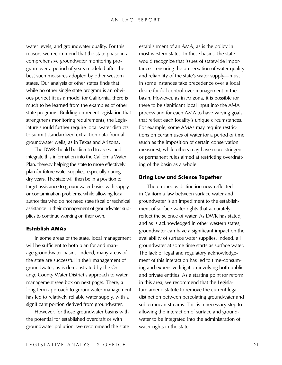water levels, and groundwater quality. For this reason, we recommend that the state phase in a comprehensive groundwater monitoring program over a period of years modeled after the best such measures adopted by other western states. Our analysis of other states finds that while no other single state program is an obvious perfect fit as a model for California, there is much to be learned from the examples of other state programs. Building on recent legislation that strengthens monitoring requirements, the Legislature should further require local water districts to submit standardized extraction data from all groundwater wells, as in Texas and Arizona.

 The DWR should be directed to assess and integrate this information into the California Water Plan, thereby helping the state to more effectively plan for future water supplies, especially during dry years. The state will then be in a position to target assistance to groundwater basins with supply or contamination problems, while allowing local authorities who do not need state fiscal or technical assistance in their management of groundwater sup-plies to continue working on their own.

#### **Establish AMAs**

In some areas of the state, local management will be sufficient to both plan for and manage groundwater basins. Indeed, many areas of the state are successful in their management of groundwater, as is demonstrated by the Orange County Water District's approach to water management (see box on next page). There, a long-term approach to groundwater management has led to relatively reliable water supply, with a significant portion derived from groundwater.

However, for those groundwater basins with the potential for established overdraft or with groundwater pollution, we recommend the state establishment of an AMA, as is the policy in most western states. In these basins, the state would recognize that issues of statewide importance—ensuring the preservation of water quality and reliability of the state's water supply—must in some instances take precedence over a local desire for full control over management in the basin. However, as in Arizona, it is possible for there to be significant local input into the AMA process and for each AMA to have varying goals that reflect each locality's unique circumstances. For example, some AMAs may require restrictions on certain uses of water for a period of time (such as the imposition of certain conservation measures), while others may have more stringent or permanent rules aimed at restricting overdrafting of the basin as a whole.

#### **Bring Law and Science Together**

The erroneous distinction now reflected in California law between surface water and groundwater is an impediment to the establishment of surface water rights that accurately reflect the science of water. As DWR has stated, and as is acknowledged in other western states, groundwater can have a significant impact on the availability of surface water supplies. Indeed, all groundwater at some time starts as surface water. The lack of legal and regulatory acknowledgement of this interaction has led to time-consuming and expensive litigation involving both public and private entities. As a starting point for reform in this area, we recommend that the Legislature amend statute to remove the current legal distinction between percolating groundwater and subterranean streams. This is a necessary step to allowing the interaction of surface and groundwater to be integrated into the administration of water rights in the state.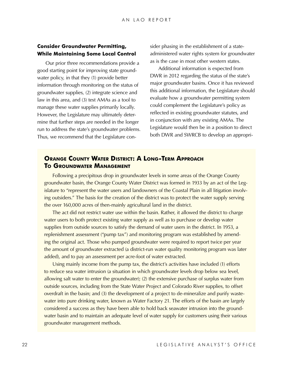## **Consider Groundwater Permitting, While Maintaining Some Local Control**

Our prior three recommendations provide a good starting point for improving state groundwater policy, in that they (1) provide better information through monitoring on the status of groundwater supplies, (2) integrate science and law in this area, and (3) test AMAs as a tool to manage these water supplies primarily locally. However, the Legislature may ultimately determine that further steps are needed in the longer run to address the state's groundwater problems. Thus, we recommend that the Legislature consider phasing in the establishment of a stateadministered water rights system for groundwater as is the case in most other western states.

Additional information is expected from DWR in 2012 regarding the status of the state's major groundwater basins. Once it has reviewed this additional information, the Legislature should evaluate how a groundwater permitting system could complement the Legislature's policy as reflected in existing groundwater statutes, and in conjunction with any existing AMAs. The Legislature would then be in a position to direct both DWR and SWRCB to develop an appropri-

# **ORANGE COUNTY WATER DISTRICT: A LONG-TERM APPROACH TO GROUNDWATER MANAGEMENT**

Following a precipitous drop in groundwater levels in some areas of the Orange County groundwater basin, the Orange County Water District was formed in 1933 by an act of the Legislature to "represent the water users and landowners of the Coastal Plain in all litigation involving outsiders." The basis for the creation of the district was to protect the water supply serving the over 160,000 acres of then-mainly agricultural land in the district.

The act did not restrict water use within the basin. Rather, it allowed the district to charge water users to both protect existing water supply as well as to purchase or develop water supplies from outside sources to satisfy the demand of water users in the district. In 1953, a replenishment assessment ("pump tax") and monitoring program was established by amending the original act. Those who pumped groundwater were required to report twice per year the amount of groundwater extracted (a district-run water quality monitoring program was later added), and to pay an assessment per acre-foot of water extracted.

Using mainly income from the pump tax, the district's activities have included (1) efforts to reduce sea water intrusion (a situation in which groundwater levels drop below sea level, allowing salt water to enter the groundwater); (2) the extensive purchase of surplus water from outside sources, including from the State Water Project and Colorado River supplies, to offset overdraft in the basin; and (3) the development of a project to de-mineralize and purify wastewater into pure drinking water, known as Water Factory 21. The efforts of the basin are largely considered a success as they have been able to hold back seawater intrusion into the groundwater basin and to maintain an adequate level of water supply for customers using their various groundwater management methods.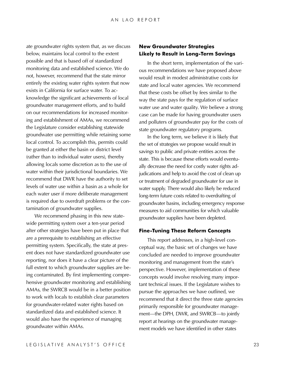ate groundwater rights system that, as we discuss below, maintains local control to the extent possible and that is based off of standardized monitoring data and established science. We do not, however, recommend that the state mirror entirely the existing water rights system that now exists in California for surface water. To acknowledge the significant achievements of local groundwater management efforts, and to build on our recommendations for increased monitoring and establishment of AMAs, we recommend the Legislature consider establishing statewide groundwater use permitting while retaining some local control. To accomplish this, permits could be granted at either the basin or district level (rather than to individual water users), thereby allowing locals some discretion as to the use of water within their jurisdictional boundaries. We recommend that DWR have the authority to set levels of water use within a basin as a whole for each water user if more deliberate management is required due to overdraft problems or the contamination of groundwater supplies.

We recommend phasing in this new statewide permitting system over a ten-year period after other strategies have been put in place that are a prerequisite to establishing an effective permitting system. Specifically, the state at present does not have standardized groundwater use reporting, nor does it have a clear picture of the full extent to which groundwater supplies are being contaminated. By first implementing comprehensive groundwater monitoring and establishing AMAs, the SWRCB would be in a better position to work with locals to establish clear parameters for groundwater-related water rights based on standardized data and established science. It would also have the experience of managing groundwater within AMAs.

## **New Groundwater Strategies Likely to Result in Long-Term Savings**

In the short term, implementation of the various recommendations we have proposed above would result in modest administrative costs for state and local water agencies. We recommend that these costs be offset by fees similar to the way the state pays for the regulation of surface water use and water quality. We believe a strong case can be made for having groundwater users and polluters of groundwater pay for the costs of state groundwater regulatory programs.

 the set of strategies we propose would result in savings to public and private entities across the state. This is because these efforts would eventu- ally decrease the need for costly water rights ad- judications and help to avoid the cost of clean up or treatment of degraded groundwater for use in water supply. There would also likely be reduced long-term future costs related to overdrafting of groundwater basins, including emergency response measures to aid communities for which valuable groundwater supplies have been depleted. In the long term, we believe it is likely that

#### **Fine-Tuning These Reform Concepts**

 ment—the DPH, DWR, and SWRCB—to jointly report at hearings on the groundwater manage- ment models we have identified in other states This report addresses, in a high-level conceptual way, the basic set of changes we have concluded are needed to improve groundwater monitoring and management from the state's perspective. However, implementation of these concepts would involve resolving many important technical issues. If the Legislature wishes to pursue the approaches we have outlined, we recommend that it direct the three state agencies primarily responsible for groundwater manage